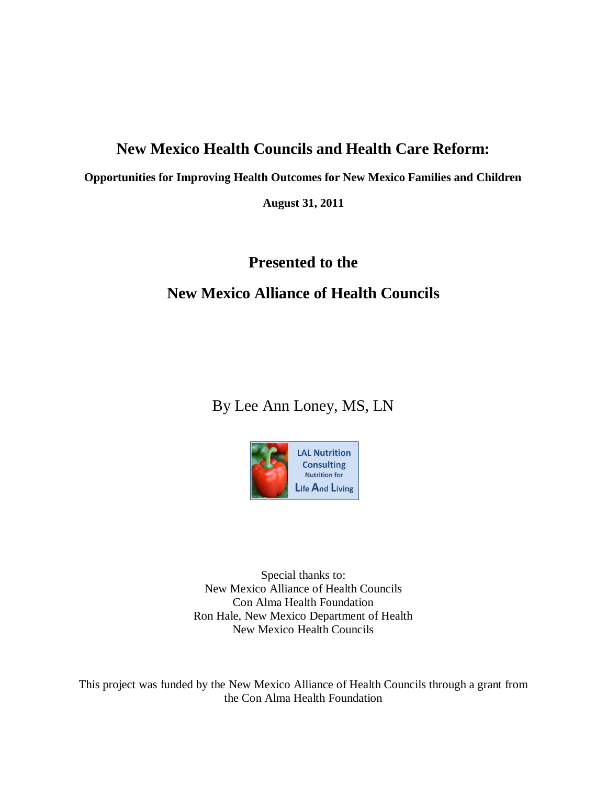# **New Mexico Health Councils and Health Care Reform:**

**Opportunities for Improving Health Outcomes for New Mexico Families and Children**

**August 31, 2011**

# **Presented to the**

# **New Mexico Alliance of Health Councils**

By Lee Ann Loney, MS, LN



Special thanks to: New Mexico Alliance of Health Councils Con Alma Health Foundation Ron Hale, New Mexico Department of Health New Mexico Health Councils

This project was funded by the New Mexico Alliance of Health Councils through a grant from the Con Alma Health Foundation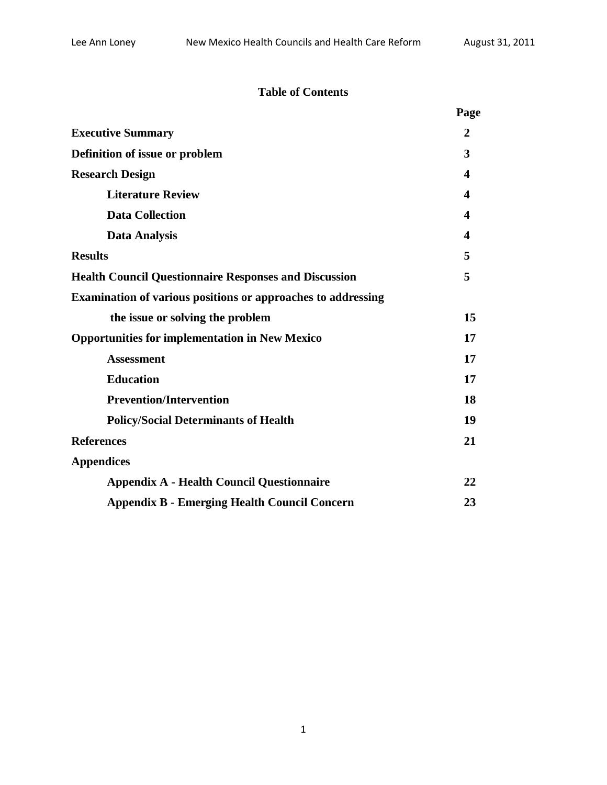## **Table of Contents**

|                                                              | Page |
|--------------------------------------------------------------|------|
| <b>Executive Summary</b>                                     | 2    |
| Definition of issue or problem                               | 3    |
| <b>Research Design</b>                                       | 4    |
| <b>Literature Review</b>                                     | 4    |
| <b>Data Collection</b>                                       | 4    |
| <b>Data Analysis</b>                                         | 4    |
| <b>Results</b>                                               | 5    |
| <b>Health Council Questionnaire Responses and Discussion</b> | 5    |
| Examination of various positions or approaches to addressing |      |
| the issue or solving the problem                             | 15   |
| <b>Opportunities for implementation in New Mexico</b>        | 17   |
| <b>Assessment</b>                                            | 17   |
| <b>Education</b>                                             | 17   |
| <b>Prevention/Intervention</b>                               | 18   |
| <b>Policy/Social Determinants of Health</b>                  | 19   |
| <b>References</b>                                            | 21   |
| <b>Appendices</b>                                            |      |
| <b>Appendix A - Health Council Questionnaire</b>             | 22   |
| <b>Appendix B - Emerging Health Council Concern</b>          | 23   |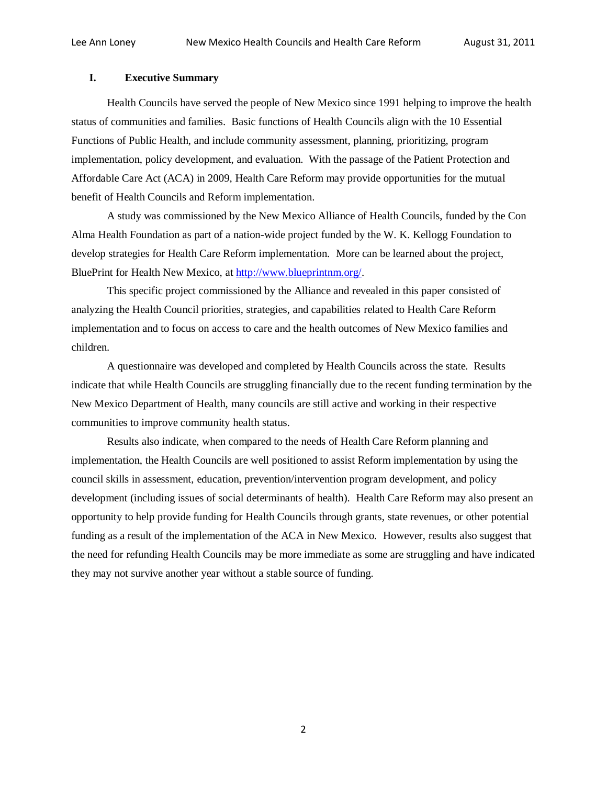### **I. Executive Summary**

Health Councils have served the people of New Mexico since 1991 helping to improve the health status of communities and families. Basic functions of Health Councils align with the 10 Essential Functions of Public Health, and include community assessment, planning, prioritizing, program implementation, policy development, and evaluation. With the passage of the Patient Protection and Affordable Care Act (ACA) in 2009, Health Care Reform may provide opportunities for the mutual benefit of Health Councils and Reform implementation.

A study was commissioned by the New Mexico Alliance of Health Councils, funded by the Con Alma Health Foundation as part of a nation-wide project funded by the W. K. Kellogg Foundation to develop strategies for Health Care Reform implementation. More can be learned about the project, BluePrint for Health New Mexico, at [http://www.blueprintnm.org/.](http://www.blueprintnm.org/)

This specific project commissioned by the Alliance and revealed in this paper consisted of analyzing the Health Council priorities, strategies, and capabilities related to Health Care Reform implementation and to focus on access to care and the health outcomes of New Mexico families and children.

A questionnaire was developed and completed by Health Councils across the state. Results indicate that while Health Councils are struggling financially due to the recent funding termination by the New Mexico Department of Health, many councils are still active and working in their respective communities to improve community health status.

Results also indicate, when compared to the needs of Health Care Reform planning and implementation, the Health Councils are well positioned to assist Reform implementation by using the council skills in assessment, education, prevention/intervention program development, and policy development (including issues of social determinants of health). Health Care Reform may also present an opportunity to help provide funding for Health Councils through grants, state revenues, or other potential funding as a result of the implementation of the ACA in New Mexico. However, results also suggest that the need for refunding Health Councils may be more immediate as some are struggling and have indicated they may not survive another year without a stable source of funding.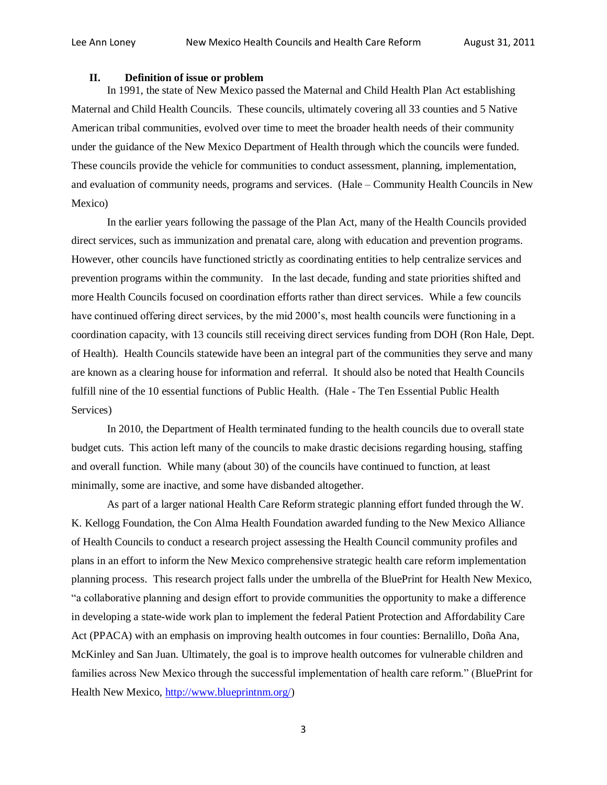### **II. Definition of issue or problem**

In 1991, the state of New Mexico passed the Maternal and Child Health Plan Act establishing Maternal and Child Health Councils. These councils, ultimately covering all 33 counties and 5 Native American tribal communities, evolved over time to meet the broader health needs of their community under the guidance of the New Mexico Department of Health through which the councils were funded. These councils provide the vehicle for communities to conduct assessment, planning, implementation, and evaluation of community needs, programs and services. (Hale – Community Health Councils in New Mexico)

In the earlier years following the passage of the Plan Act, many of the Health Councils provided direct services, such as immunization and prenatal care, along with education and prevention programs. However, other councils have functioned strictly as coordinating entities to help centralize services and prevention programs within the community. In the last decade, funding and state priorities shifted and more Health Councils focused on coordination efforts rather than direct services. While a few councils have continued offering direct services, by the mid 2000's, most health councils were functioning in a coordination capacity, with 13 councils still receiving direct services funding from DOH (Ron Hale, Dept. of Health). Health Councils statewide have been an integral part of the communities they serve and many are known as a clearing house for information and referral. It should also be noted that Health Councils fulfill nine of the 10 essential functions of Public Health. (Hale - The Ten Essential Public Health Services)

In 2010, the Department of Health terminated funding to the health councils due to overall state budget cuts. This action left many of the councils to make drastic decisions regarding housing, staffing and overall function. While many (about 30) of the councils have continued to function, at least minimally, some are inactive, and some have disbanded altogether.

As part of a larger national Health Care Reform strategic planning effort funded through the W. K. Kellogg Foundation, the Con Alma Health Foundation awarded funding to the New Mexico Alliance of Health Councils to conduct a research project assessing the Health Council community profiles and plans in an effort to inform the New Mexico comprehensive strategic health care reform implementation planning process. This research project falls under the umbrella of the BluePrint for Health New Mexico, "a collaborative planning and design effort to provide communities the opportunity to make a difference in developing a state-wide work plan to implement the federal Patient Protection and Affordability Care Act (PPACA) with an emphasis on improving health outcomes in four counties: Bernalillo, Doña Ana, McKinley and San Juan. Ultimately, the goal is to improve health outcomes for vulnerable children and families across New Mexico through the successful implementation of health care reform." (BluePrint for Health New Mexico, [http://www.blueprintnm.org/\)](http://www.blueprintnm.org/)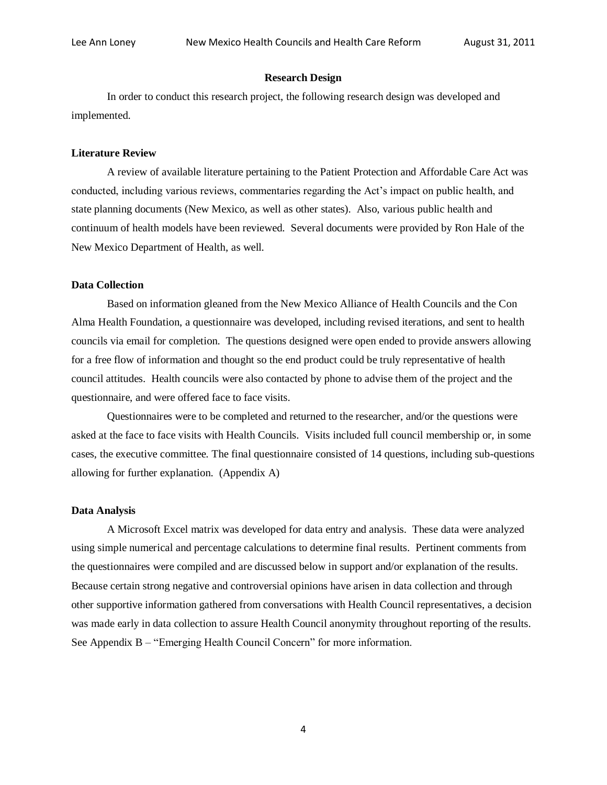#### **Research Design**

In order to conduct this research project, the following research design was developed and implemented.

### **Literature Review**

A review of available literature pertaining to the Patient Protection and Affordable Care Act was conducted, including various reviews, commentaries regarding the Act's impact on public health, and state planning documents (New Mexico, as well as other states). Also, various public health and continuum of health models have been reviewed. Several documents were provided by Ron Hale of the New Mexico Department of Health, as well.

#### **Data Collection**

Based on information gleaned from the New Mexico Alliance of Health Councils and the Con Alma Health Foundation, a questionnaire was developed, including revised iterations, and sent to health councils via email for completion. The questions designed were open ended to provide answers allowing for a free flow of information and thought so the end product could be truly representative of health council attitudes. Health councils were also contacted by phone to advise them of the project and the questionnaire, and were offered face to face visits.

Questionnaires were to be completed and returned to the researcher, and/or the questions were asked at the face to face visits with Health Councils. Visits included full council membership or, in some cases, the executive committee. The final questionnaire consisted of 14 questions, including sub-questions allowing for further explanation. (Appendix A)

#### **Data Analysis**

A Microsoft Excel matrix was developed for data entry and analysis. These data were analyzed using simple numerical and percentage calculations to determine final results. Pertinent comments from the questionnaires were compiled and are discussed below in support and/or explanation of the results. Because certain strong negative and controversial opinions have arisen in data collection and through other supportive information gathered from conversations with Health Council representatives, a decision was made early in data collection to assure Health Council anonymity throughout reporting of the results. See Appendix B – "Emerging Health Council Concern" for more information.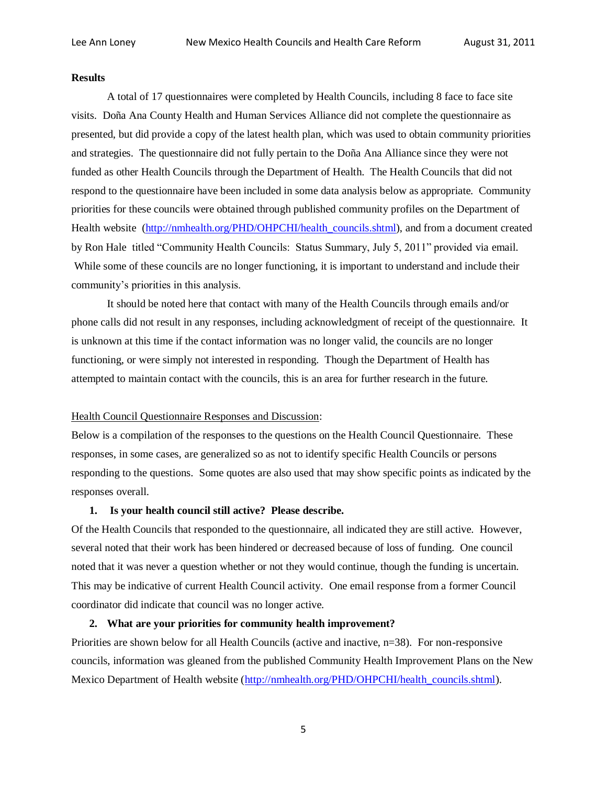#### **Results**

A total of 17 questionnaires were completed by Health Councils, including 8 face to face site visits. Doña Ana County Health and Human Services Alliance did not complete the questionnaire as presented, but did provide a copy of the latest health plan, which was used to obtain community priorities and strategies. The questionnaire did not fully pertain to the Doña Ana Alliance since they were not funded as other Health Councils through the Department of Health. The Health Councils that did not respond to the questionnaire have been included in some data analysis below as appropriate. Community priorities for these councils were obtained through published community profiles on the Department of Health website [\(http://nmhealth.org/PHD/OHPCHI/health\\_councils.shtml\)](http://nmhealth.org/PHD/OHPCHI/health_councils.shtml), and from a document created by Ron Hale titled "Community Health Councils: Status Summary, July 5, 2011" provided via email. While some of these councils are no longer functioning, it is important to understand and include their community's priorities in this analysis.

It should be noted here that contact with many of the Health Councils through emails and/or phone calls did not result in any responses, including acknowledgment of receipt of the questionnaire. It is unknown at this time if the contact information was no longer valid, the councils are no longer functioning, or were simply not interested in responding. Though the Department of Health has attempted to maintain contact with the councils, this is an area for further research in the future.

### Health Council Questionnaire Responses and Discussion:

Below is a compilation of the responses to the questions on the Health Council Questionnaire. These responses, in some cases, are generalized so as not to identify specific Health Councils or persons responding to the questions. Some quotes are also used that may show specific points as indicated by the responses overall.

### **1. Is your health council still active? Please describe.**

Of the Health Councils that responded to the questionnaire, all indicated they are still active. However, several noted that their work has been hindered or decreased because of loss of funding. One council noted that it was never a question whether or not they would continue, though the funding is uncertain. This may be indicative of current Health Council activity. One email response from a former Council coordinator did indicate that council was no longer active.

### **2. What are your priorities for community health improvement?**

Priorities are shown below for all Health Councils (active and inactive, n=38). For non-responsive councils, information was gleaned from the published Community Health Improvement Plans on the New Mexico Department of Health website [\(http://nmhealth.org/PHD/OHPCHI/health\\_councils.shtml\)](http://nmhealth.org/PHD/OHPCHI/health_councils.shtml).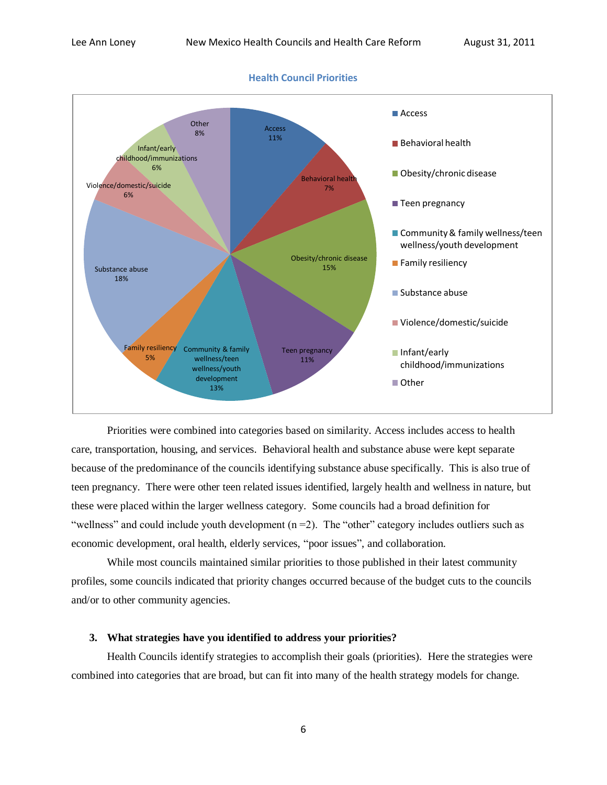

Priorities were combined into categories based on similarity. Access includes access to health care, transportation, housing, and services. Behavioral health and substance abuse were kept separate because of the predominance of the councils identifying substance abuse specifically. This is also true of teen pregnancy. There were other teen related issues identified, largely health and wellness in nature, but these were placed within the larger wellness category. Some councils had a broad definition for "wellness" and could include youth development  $(n=2)$ . The "other" category includes outliers such as economic development, oral health, elderly services, "poor issues", and collaboration.

While most councils maintained similar priorities to those published in their latest community profiles, some councils indicated that priority changes occurred because of the budget cuts to the councils and/or to other community agencies.

### **3. What strategies have you identified to address your priorities?**

Health Councils identify strategies to accomplish their goals (priorities). Here the strategies were combined into categories that are broad, but can fit into many of the health strategy models for change.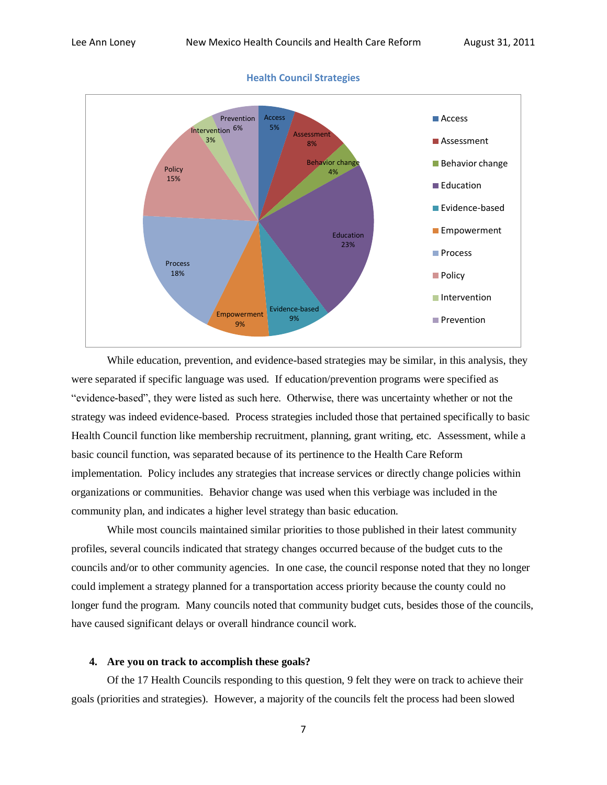

**Health Council Strategies**

While education, prevention, and evidence-based strategies may be similar, in this analysis, they were separated if specific language was used. If education/prevention programs were specified as "evidence-based", they were listed as such here. Otherwise, there was uncertainty whether or not the strategy was indeed evidence-based. Process strategies included those that pertained specifically to basic Health Council function like membership recruitment, planning, grant writing, etc. Assessment, while a basic council function, was separated because of its pertinence to the Health Care Reform implementation. Policy includes any strategies that increase services or directly change policies within organizations or communities. Behavior change was used when this verbiage was included in the community plan, and indicates a higher level strategy than basic education.

While most councils maintained similar priorities to those published in their latest community profiles, several councils indicated that strategy changes occurred because of the budget cuts to the councils and/or to other community agencies. In one case, the council response noted that they no longer could implement a strategy planned for a transportation access priority because the county could no longer fund the program. Many councils noted that community budget cuts, besides those of the councils, have caused significant delays or overall hindrance council work.

### **4. Are you on track to accomplish these goals?**

Of the 17 Health Councils responding to this question, 9 felt they were on track to achieve their goals (priorities and strategies). However, a majority of the councils felt the process had been slowed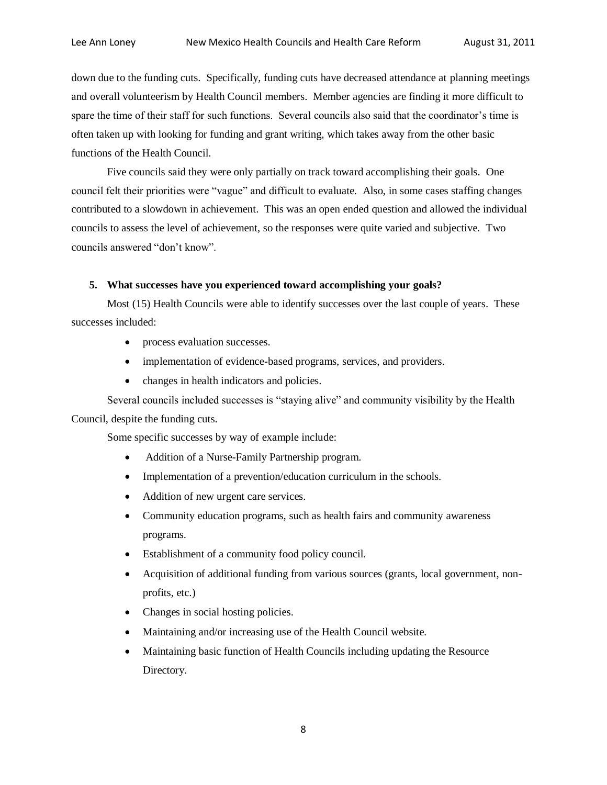down due to the funding cuts. Specifically, funding cuts have decreased attendance at planning meetings and overall volunteerism by Health Council members. Member agencies are finding it more difficult to spare the time of their staff for such functions. Several councils also said that the coordinator's time is often taken up with looking for funding and grant writing, which takes away from the other basic functions of the Health Council.

Five councils said they were only partially on track toward accomplishing their goals. One council felt their priorities were "vague" and difficult to evaluate. Also, in some cases staffing changes contributed to a slowdown in achievement. This was an open ended question and allowed the individual councils to assess the level of achievement, so the responses were quite varied and subjective. Two councils answered "don't know".

### **5. What successes have you experienced toward accomplishing your goals?**

Most (15) Health Councils were able to identify successes over the last couple of years. These successes included:

- process evaluation successes.
- implementation of evidence-based programs, services, and providers.
- changes in health indicators and policies.

Several councils included successes is "staying alive" and community visibility by the Health Council, despite the funding cuts.

Some specific successes by way of example include:

- Addition of a Nurse-Family Partnership program.
- Implementation of a prevention/education curriculum in the schools.
- Addition of new urgent care services.
- Community education programs, such as health fairs and community awareness programs.
- Establishment of a community food policy council.
- Acquisition of additional funding from various sources (grants, local government, nonprofits, etc.)
- Changes in social hosting policies.
- Maintaining and/or increasing use of the Health Council website.
- Maintaining basic function of Health Councils including updating the Resource Directory.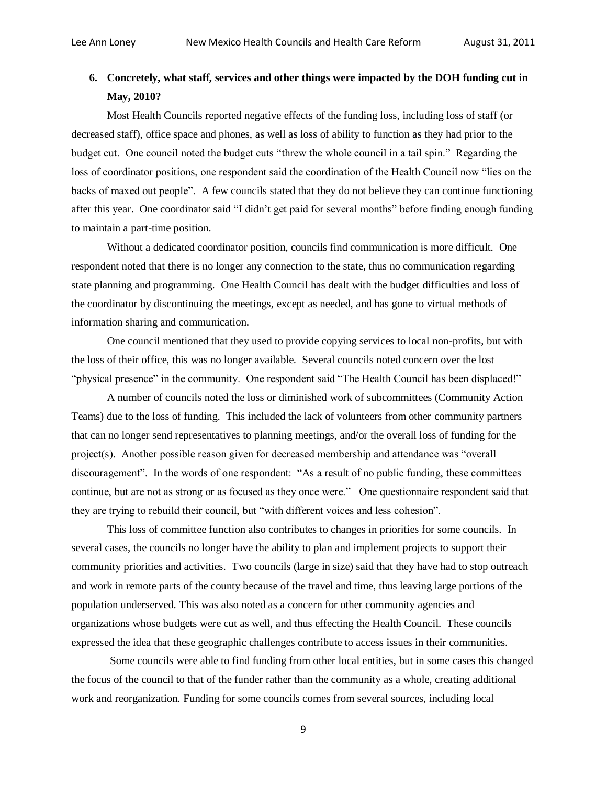## **6. Concretely, what staff, services and other things were impacted by the DOH funding cut in May, 2010?**

Most Health Councils reported negative effects of the funding loss, including loss of staff (or decreased staff), office space and phones, as well as loss of ability to function as they had prior to the budget cut. One council noted the budget cuts "threw the whole council in a tail spin." Regarding the loss of coordinator positions, one respondent said the coordination of the Health Council now "lies on the backs of maxed out people". A few councils stated that they do not believe they can continue functioning after this year. One coordinator said "I didn't get paid for several months" before finding enough funding to maintain a part-time position.

Without a dedicated coordinator position, councils find communication is more difficult. One respondent noted that there is no longer any connection to the state, thus no communication regarding state planning and programming. One Health Council has dealt with the budget difficulties and loss of the coordinator by discontinuing the meetings, except as needed, and has gone to virtual methods of information sharing and communication.

One council mentioned that they used to provide copying services to local non-profits, but with the loss of their office, this was no longer available. Several councils noted concern over the lost "physical presence" in the community. One respondent said "The Health Council has been displaced!"

A number of councils noted the loss or diminished work of subcommittees (Community Action Teams) due to the loss of funding. This included the lack of volunteers from other community partners that can no longer send representatives to planning meetings, and/or the overall loss of funding for the project(s). Another possible reason given for decreased membership and attendance was "overall discouragement". In the words of one respondent: "As a result of no public funding, these committees continue, but are not as strong or as focused as they once were." One questionnaire respondent said that they are trying to rebuild their council, but "with different voices and less cohesion".

This loss of committee function also contributes to changes in priorities for some councils. In several cases, the councils no longer have the ability to plan and implement projects to support their community priorities and activities. Two councils (large in size) said that they have had to stop outreach and work in remote parts of the county because of the travel and time, thus leaving large portions of the population underserved. This was also noted as a concern for other community agencies and organizations whose budgets were cut as well, and thus effecting the Health Council. These councils expressed the idea that these geographic challenges contribute to access issues in their communities.

Some councils were able to find funding from other local entities, but in some cases this changed the focus of the council to that of the funder rather than the community as a whole, creating additional work and reorganization. Funding for some councils comes from several sources, including local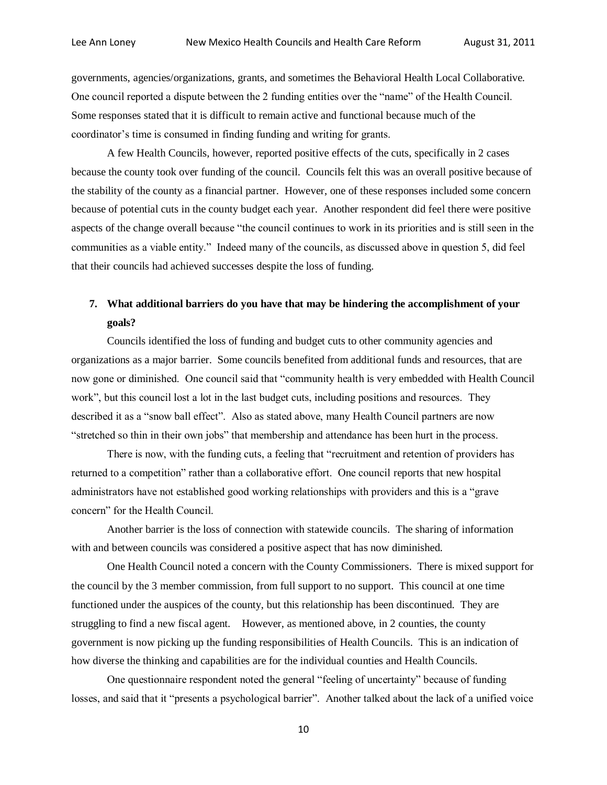governments, agencies/organizations, grants, and sometimes the Behavioral Health Local Collaborative. One council reported a dispute between the 2 funding entities over the "name" of the Health Council. Some responses stated that it is difficult to remain active and functional because much of the coordinator's time is consumed in finding funding and writing for grants.

A few Health Councils, however, reported positive effects of the cuts, specifically in 2 cases because the county took over funding of the council. Councils felt this was an overall positive because of the stability of the county as a financial partner. However, one of these responses included some concern because of potential cuts in the county budget each year. Another respondent did feel there were positive aspects of the change overall because "the council continues to work in its priorities and is still seen in the communities as a viable entity." Indeed many of the councils, as discussed above in question 5, did feel that their councils had achieved successes despite the loss of funding.

### **7. What additional barriers do you have that may be hindering the accomplishment of your goals?**

Councils identified the loss of funding and budget cuts to other community agencies and organizations as a major barrier. Some councils benefited from additional funds and resources, that are now gone or diminished. One council said that "community health is very embedded with Health Council work", but this council lost a lot in the last budget cuts, including positions and resources. They described it as a "snow ball effect". Also as stated above, many Health Council partners are now "stretched so thin in their own jobs" that membership and attendance has been hurt in the process.

There is now, with the funding cuts, a feeling that "recruitment and retention of providers has returned to a competition" rather than a collaborative effort. One council reports that new hospital administrators have not established good working relationships with providers and this is a "grave concern" for the Health Council.

Another barrier is the loss of connection with statewide councils. The sharing of information with and between councils was considered a positive aspect that has now diminished.

One Health Council noted a concern with the County Commissioners. There is mixed support for the council by the 3 member commission, from full support to no support. This council at one time functioned under the auspices of the county, but this relationship has been discontinued. They are struggling to find a new fiscal agent. However, as mentioned above, in 2 counties, the county government is now picking up the funding responsibilities of Health Councils. This is an indication of how diverse the thinking and capabilities are for the individual counties and Health Councils.

One questionnaire respondent noted the general "feeling of uncertainty" because of funding losses, and said that it "presents a psychological barrier". Another talked about the lack of a unified voice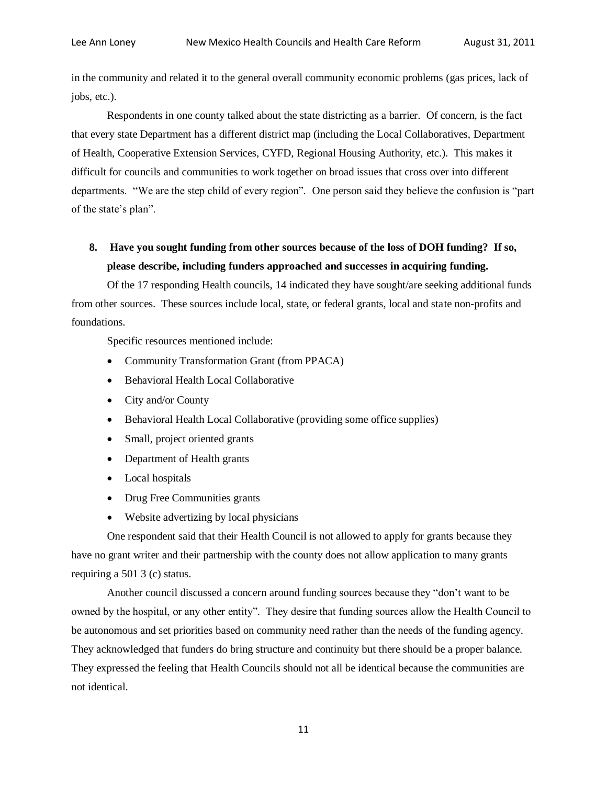in the community and related it to the general overall community economic problems (gas prices, lack of jobs, etc.).

Respondents in one county talked about the state districting as a barrier. Of concern, is the fact that every state Department has a different district map (including the Local Collaboratives, Department of Health, Cooperative Extension Services, CYFD, Regional Housing Authority, etc.). This makes it difficult for councils and communities to work together on broad issues that cross over into different departments. "We are the step child of every region". One person said they believe the confusion is "part of the state's plan".

# **8. Have you sought funding from other sources because of the loss of DOH funding? If so, please describe, including funders approached and successes in acquiring funding.**

Of the 17 responding Health councils, 14 indicated they have sought/are seeking additional funds from other sources. These sources include local, state, or federal grants, local and state non-profits and foundations.

Specific resources mentioned include:

- Community Transformation Grant (from PPACA)
- Behavioral Health Local Collaborative
- City and/or County
- Behavioral Health Local Collaborative (providing some office supplies)
- Small, project oriented grants
- Department of Health grants
- Local hospitals
- Drug Free Communities grants
- Website advertizing by local physicians

One respondent said that their Health Council is not allowed to apply for grants because they have no grant writer and their partnership with the county does not allow application to many grants requiring a 501 3 (c) status.

Another council discussed a concern around funding sources because they "don't want to be owned by the hospital, or any other entity". They desire that funding sources allow the Health Council to be autonomous and set priorities based on community need rather than the needs of the funding agency. They acknowledged that funders do bring structure and continuity but there should be a proper balance. They expressed the feeling that Health Councils should not all be identical because the communities are not identical.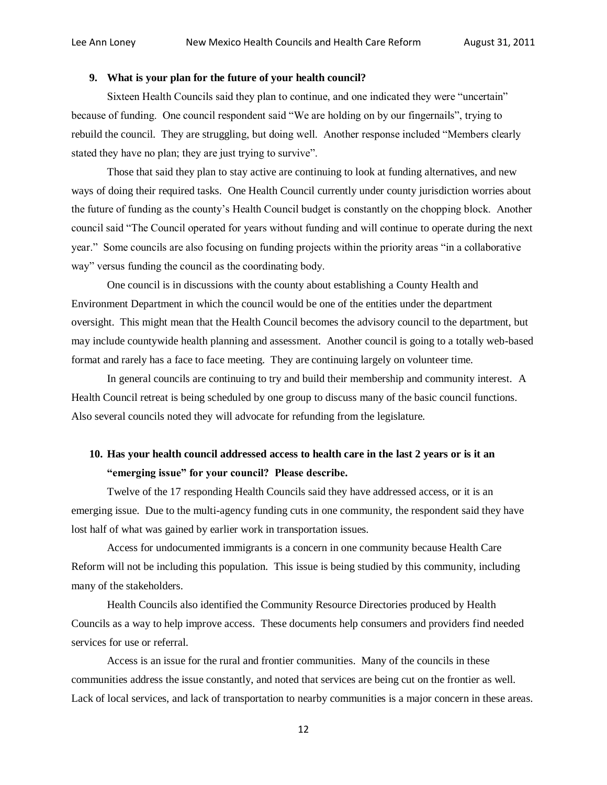### **9. What is your plan for the future of your health council?**

Sixteen Health Councils said they plan to continue, and one indicated they were "uncertain" because of funding. One council respondent said "We are holding on by our fingernails", trying to rebuild the council. They are struggling, but doing well. Another response included "Members clearly stated they have no plan; they are just trying to survive".

Those that said they plan to stay active are continuing to look at funding alternatives, and new ways of doing their required tasks. One Health Council currently under county jurisdiction worries about the future of funding as the county's Health Council budget is constantly on the chopping block. Another council said "The Council operated for years without funding and will continue to operate during the next year." Some councils are also focusing on funding projects within the priority areas "in a collaborative way" versus funding the council as the coordinating body.

One council is in discussions with the county about establishing a County Health and Environment Department in which the council would be one of the entities under the department oversight. This might mean that the Health Council becomes the advisory council to the department, but may include countywide health planning and assessment. Another council is going to a totally web-based format and rarely has a face to face meeting. They are continuing largely on volunteer time.

In general councils are continuing to try and build their membership and community interest. A Health Council retreat is being scheduled by one group to discuss many of the basic council functions. Also several councils noted they will advocate for refunding from the legislature.

## **10. Has your health council addressed access to health care in the last 2 years or is it an "emerging issue" for your council? Please describe.**

Twelve of the 17 responding Health Councils said they have addressed access, or it is an emerging issue. Due to the multi-agency funding cuts in one community, the respondent said they have lost half of what was gained by earlier work in transportation issues.

Access for undocumented immigrants is a concern in one community because Health Care Reform will not be including this population. This issue is being studied by this community, including many of the stakeholders.

Health Councils also identified the Community Resource Directories produced by Health Councils as a way to help improve access. These documents help consumers and providers find needed services for use or referral.

Access is an issue for the rural and frontier communities. Many of the councils in these communities address the issue constantly, and noted that services are being cut on the frontier as well. Lack of local services, and lack of transportation to nearby communities is a major concern in these areas.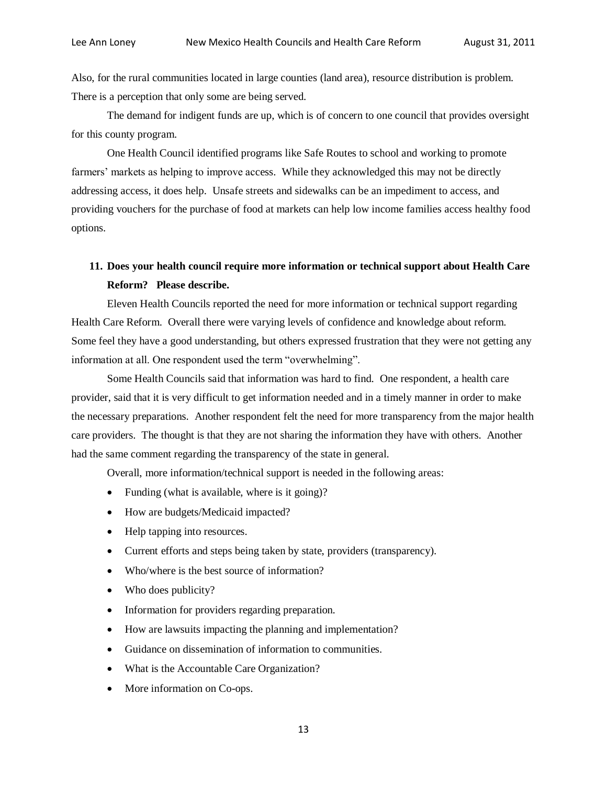Also, for the rural communities located in large counties (land area), resource distribution is problem. There is a perception that only some are being served.

The demand for indigent funds are up, which is of concern to one council that provides oversight for this county program.

One Health Council identified programs like Safe Routes to school and working to promote farmers' markets as helping to improve access. While they acknowledged this may not be directly addressing access, it does help. Unsafe streets and sidewalks can be an impediment to access, and providing vouchers for the purchase of food at markets can help low income families access healthy food options.

## **11. Does your health council require more information or technical support about Health Care Reform? Please describe.**

Eleven Health Councils reported the need for more information or technical support regarding Health Care Reform. Overall there were varying levels of confidence and knowledge about reform. Some feel they have a good understanding, but others expressed frustration that they were not getting any information at all. One respondent used the term "overwhelming".

Some Health Councils said that information was hard to find. One respondent, a health care provider, said that it is very difficult to get information needed and in a timely manner in order to make the necessary preparations. Another respondent felt the need for more transparency from the major health care providers. The thought is that they are not sharing the information they have with others. Another had the same comment regarding the transparency of the state in general.

Overall, more information/technical support is needed in the following areas:

- Funding (what is available, where is it going)?
- How are budgets/Medicaid impacted?
- Help tapping into resources.
- Current efforts and steps being taken by state, providers (transparency).
- Who/where is the best source of information?
- Who does publicity?
- Information for providers regarding preparation.
- How are lawsuits impacting the planning and implementation?
- Guidance on dissemination of information to communities.
- What is the Accountable Care Organization?
- More information on Co-ops.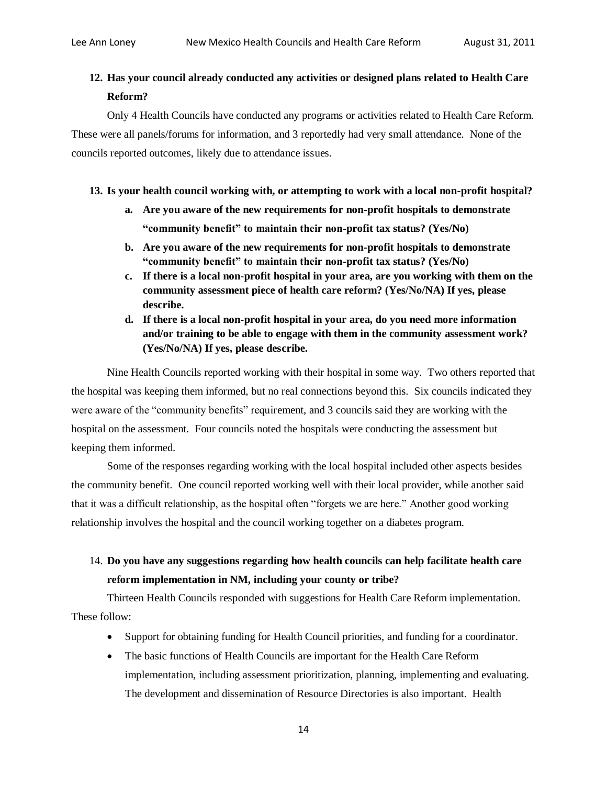### **12. Has your council already conducted any activities or designed plans related to Health Care Reform?**

Only 4 Health Councils have conducted any programs or activities related to Health Care Reform. These were all panels/forums for information, and 3 reportedly had very small attendance. None of the councils reported outcomes, likely due to attendance issues.

### **13. Is your health council working with, or attempting to work with a local non-profit hospital?**

- **a. Are you aware of the new requirements for non-profit hospitals to demonstrate "community benefit" to maintain their non-profit tax status? (Yes/No)**
- **b. Are you aware of the new requirements for non-profit hospitals to demonstrate "community benefit" to maintain their non-profit tax status? (Yes/No)**
- **c. If there is a local non-profit hospital in your area, are you working with them on the community assessment piece of health care reform? (Yes/No/NA) If yes, please describe.**
- **d. If there is a local non-profit hospital in your area, do you need more information and/or training to be able to engage with them in the community assessment work? (Yes/No/NA) If yes, please describe.**

Nine Health Councils reported working with their hospital in some way. Two others reported that the hospital was keeping them informed, but no real connections beyond this. Six councils indicated they were aware of the "community benefits" requirement, and 3 councils said they are working with the hospital on the assessment. Four councils noted the hospitals were conducting the assessment but keeping them informed.

Some of the responses regarding working with the local hospital included other aspects besides the community benefit. One council reported working well with their local provider, while another said that it was a difficult relationship, as the hospital often "forgets we are here." Another good working relationship involves the hospital and the council working together on a diabetes program.

# 14. **Do you have any suggestions regarding how health councils can help facilitate health care reform implementation in NM, including your county or tribe?**

Thirteen Health Councils responded with suggestions for Health Care Reform implementation. These follow:

- Support for obtaining funding for Health Council priorities, and funding for a coordinator.
- The basic functions of Health Councils are important for the Health Care Reform implementation, including assessment prioritization, planning, implementing and evaluating. The development and dissemination of Resource Directories is also important. Health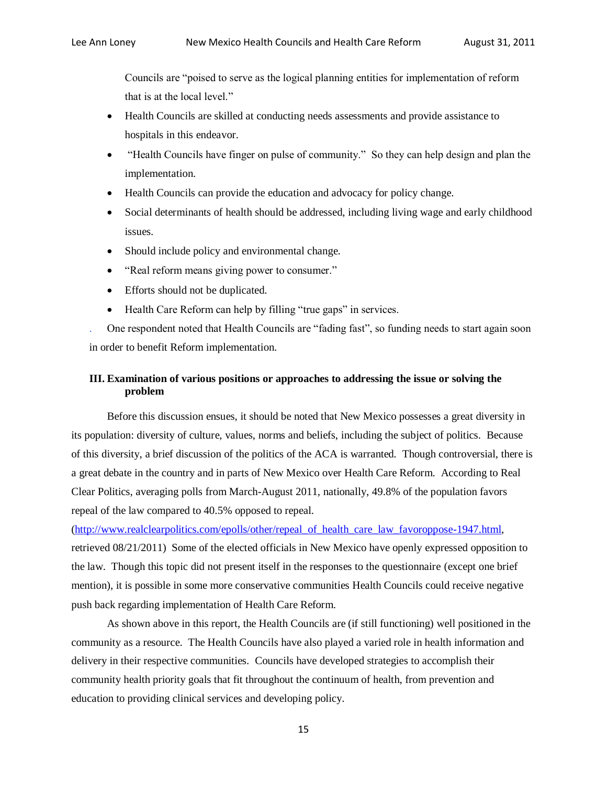Councils are "poised to serve as the logical planning entities for implementation of reform that is at the local level."

- Health Councils are skilled at conducting needs assessments and provide assistance to hospitals in this endeavor.
- "Health Councils have finger on pulse of community." So they can help design and plan the implementation.
- Health Councils can provide the education and advocacy for policy change.
- Social determinants of health should be addressed, including living wage and early childhood issues.
- Should include policy and environmental change.
- "Real reform means giving power to consumer."
- Efforts should not be duplicated.
- Health Care Reform can help by filling "true gaps" in services.

. One respondent noted that Health Councils are "fading fast", so funding needs to start again soon in order to benefit Reform implementation.

### **III. Examination of various positions or approaches to addressing the issue or solving the problem**

Before this discussion ensues, it should be noted that New Mexico possesses a great diversity in its population: diversity of culture, values, norms and beliefs, including the subject of politics. Because of this diversity, a brief discussion of the politics of the ACA is warranted. Though controversial, there is a great debate in the country and in parts of New Mexico over Health Care Reform. According to Real Clear Politics, averaging polls from March-August 2011, nationally, 49.8% of the population favors repeal of the law compared to 40.5% opposed to repeal.

[\(http://www.realclearpolitics.com/epolls/other/repeal\\_of\\_health\\_care\\_law\\_favoroppose-1947.html,](http://www.realclearpolitics.com/epolls/other/repeal_of_health_care_law_favoroppose-1947.html)

retrieved 08/21/2011) Some of the elected officials in New Mexico have openly expressed opposition to the law. Though this topic did not present itself in the responses to the questionnaire (except one brief mention), it is possible in some more conservative communities Health Councils could receive negative push back regarding implementation of Health Care Reform.

As shown above in this report, the Health Councils are (if still functioning) well positioned in the community as a resource. The Health Councils have also played a varied role in health information and delivery in their respective communities. Councils have developed strategies to accomplish their community health priority goals that fit throughout the continuum of health, from prevention and education to providing clinical services and developing policy.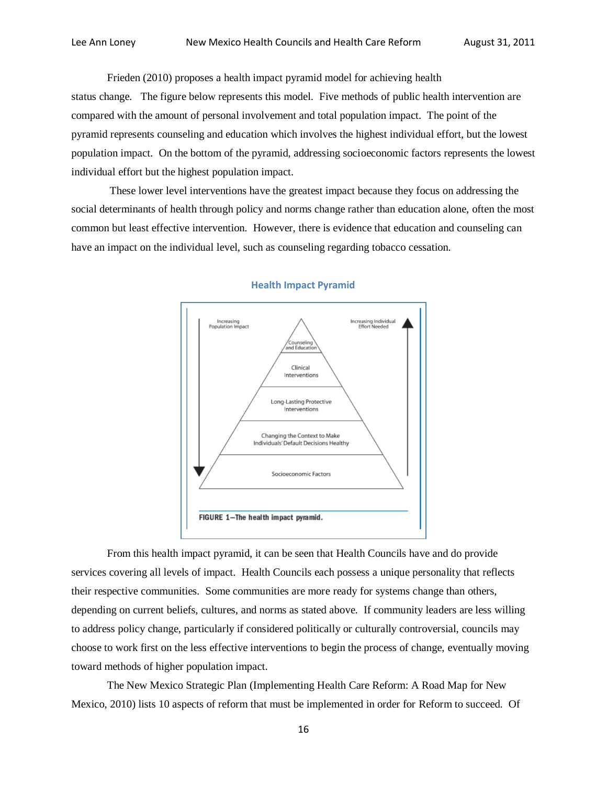Frieden (2010) proposes a health impact pyramid model for achieving health status change. The figure below represents this model. Five methods of public health intervention are compared with the amount of personal involvement and total population impact. The point of the pyramid represents counseling and education which involves the highest individual effort, but the lowest population impact. On the bottom of the pyramid, addressing socioeconomic factors represents the lowest individual effort but the highest population impact.

These lower level interventions have the greatest impact because they focus on addressing the social determinants of health through policy and norms change rather than education alone, often the most common but least effective intervention. However, there is evidence that education and counseling can have an impact on the individual level, such as counseling regarding tobacco cessation.



#### **Health Impact Pyramid**

From this health impact pyramid, it can be seen that Health Councils have and do provide services covering all levels of impact. Health Councils each possess a unique personality that reflects their respective communities. Some communities are more ready for systems change than others, depending on current beliefs, cultures, and norms as stated above. If community leaders are less willing to address policy change, particularly if considered politically or culturally controversial, councils may choose to work first on the less effective interventions to begin the process of change, eventually moving toward methods of higher population impact.

The New Mexico Strategic Plan (Implementing Health Care Reform: A Road Map for New Mexico, 2010) lists 10 aspects of reform that must be implemented in order for Reform to succeed. Of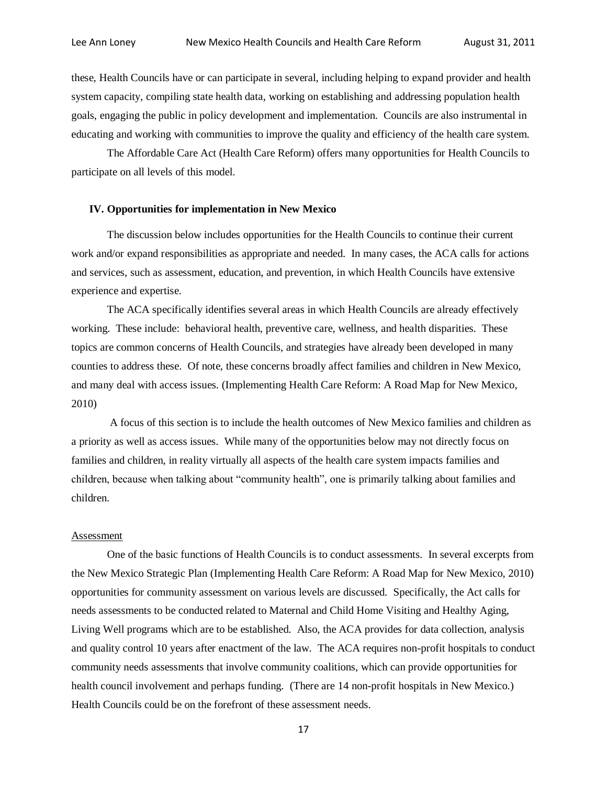these, Health Councils have or can participate in several, including helping to expand provider and health system capacity, compiling state health data, working on establishing and addressing population health goals, engaging the public in policy development and implementation. Councils are also instrumental in educating and working with communities to improve the quality and efficiency of the health care system.

The Affordable Care Act (Health Care Reform) offers many opportunities for Health Councils to participate on all levels of this model.

### **IV. Opportunities for implementation in New Mexico**

The discussion below includes opportunities for the Health Councils to continue their current work and/or expand responsibilities as appropriate and needed. In many cases, the ACA calls for actions and services, such as assessment, education, and prevention, in which Health Councils have extensive experience and expertise.

The ACA specifically identifies several areas in which Health Councils are already effectively working. These include: behavioral health, preventive care, wellness, and health disparities. These topics are common concerns of Health Councils, and strategies have already been developed in many counties to address these. Of note, these concerns broadly affect families and children in New Mexico, and many deal with access issues. (Implementing Health Care Reform: A Road Map for New Mexico, 2010)

A focus of this section is to include the health outcomes of New Mexico families and children as a priority as well as access issues. While many of the opportunities below may not directly focus on families and children, in reality virtually all aspects of the health care system impacts families and children, because when talking about "community health", one is primarily talking about families and children.

#### Assessment

One of the basic functions of Health Councils is to conduct assessments. In several excerpts from the New Mexico Strategic Plan (Implementing Health Care Reform: A Road Map for New Mexico, 2010) opportunities for community assessment on various levels are discussed. Specifically, the Act calls for needs assessments to be conducted related to Maternal and Child Home Visiting and Healthy Aging, Living Well programs which are to be established. Also, the ACA provides for data collection, analysis and quality control 10 years after enactment of the law. The ACA requires non-profit hospitals to conduct community needs assessments that involve community coalitions, which can provide opportunities for health council involvement and perhaps funding. (There are 14 non-profit hospitals in New Mexico.) Health Councils could be on the forefront of these assessment needs.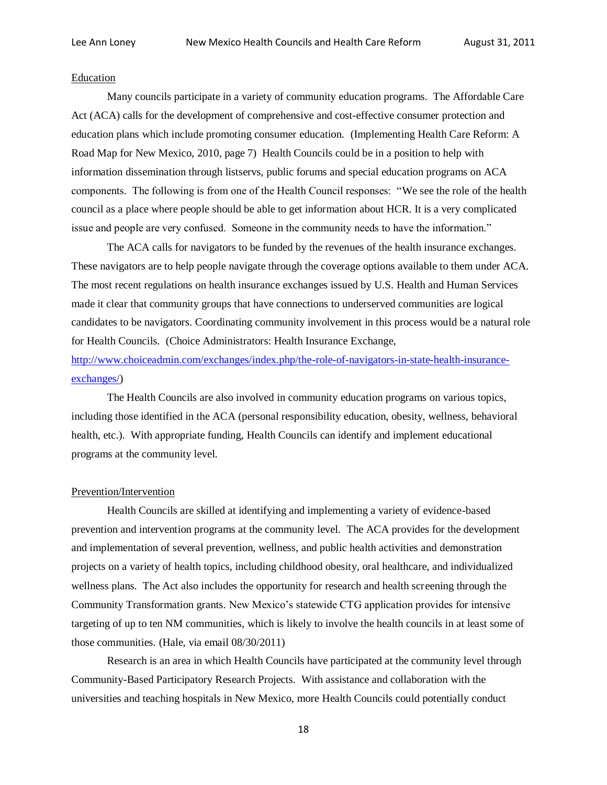### Education

Many councils participate in a variety of community education programs. The Affordable Care Act (ACA) calls for the development of comprehensive and cost-effective consumer protection and education plans which include promoting consumer education. (Implementing Health Care Reform: A Road Map for New Mexico, 2010, page 7) Health Councils could be in a position to help with information dissemination through listservs, public forums and special education programs on ACA components. The following is from one of the Health Council responses: "We see the role of the health council as a place where people should be able to get information about HCR. It is a very complicated issue and people are very confused. Someone in the community needs to have the information."

The ACA calls for navigators to be funded by the revenues of the health insurance exchanges. These navigators are to help people navigate through the coverage options available to them under ACA. The most recent regulations on health insurance exchanges issued by U.S. Health and Human Services made it clear that community groups that have connections to underserved communities are logical candidates to be navigators. Coordinating community involvement in this process would be a natural role for Health Councils. (Choice Administrators: Health Insurance Exchange, [http://www.choiceadmin.com/exchanges/index.php/the-role-of-navigators-in-state-health-insurance](http://www.choiceadmin.com/exchanges/index.php/the-role-of-navigators-in-state-health-insurance-exchanges/)[exchanges/\)](http://www.choiceadmin.com/exchanges/index.php/the-role-of-navigators-in-state-health-insurance-exchanges/)

The Health Councils are also involved in community education programs on various topics, including those identified in the ACA (personal responsibility education, obesity, wellness, behavioral health, etc.). With appropriate funding, Health Councils can identify and implement educational programs at the community level.

### Prevention/Intervention

Health Councils are skilled at identifying and implementing a variety of evidence-based prevention and intervention programs at the community level. The ACA provides for the development and implementation of several prevention, wellness, and public health activities and demonstration projects on a variety of health topics, including childhood obesity, oral healthcare, and individualized wellness plans. The Act also includes the opportunity for research and health screening through the Community Transformation grants. New Mexico's statewide CTG application provides for intensive targeting of up to ten NM communities, which is likely to involve the health councils in at least some of those communities. (Hale, via email 08/30/2011)

Research is an area in which Health Councils have participated at the community level through Community-Based Participatory Research Projects. With assistance and collaboration with the universities and teaching hospitals in New Mexico, more Health Councils could potentially conduct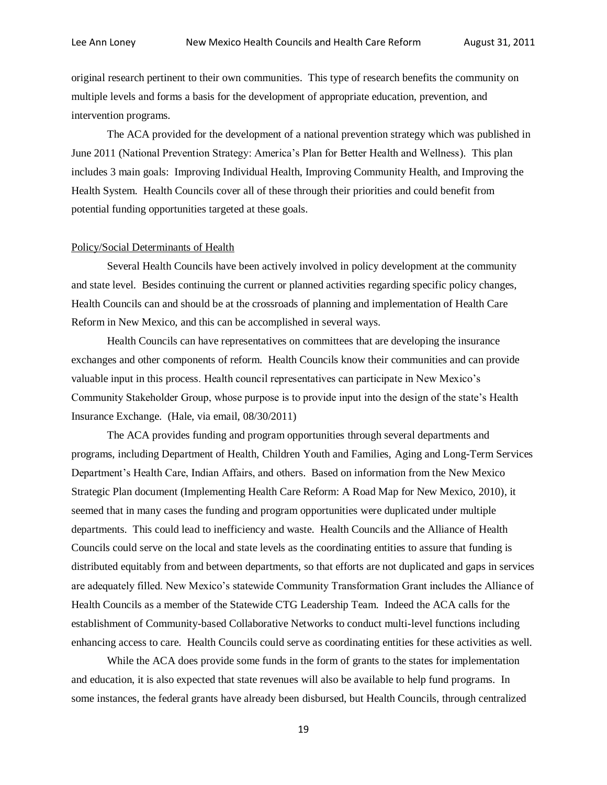original research pertinent to their own communities. This type of research benefits the community on multiple levels and forms a basis for the development of appropriate education, prevention, and intervention programs.

The ACA provided for the development of a national prevention strategy which was published in June 2011 (National Prevention Strategy: America's Plan for Better Health and Wellness). This plan includes 3 main goals: Improving Individual Health, Improving Community Health, and Improving the Health System. Health Councils cover all of these through their priorities and could benefit from potential funding opportunities targeted at these goals.

### Policy/Social Determinants of Health

Several Health Councils have been actively involved in policy development at the community and state level. Besides continuing the current or planned activities regarding specific policy changes, Health Councils can and should be at the crossroads of planning and implementation of Health Care Reform in New Mexico, and this can be accomplished in several ways.

Health Councils can have representatives on committees that are developing the insurance exchanges and other components of reform. Health Councils know their communities and can provide valuable input in this process. Health council representatives can participate in New Mexico's Community Stakeholder Group, whose purpose is to provide input into the design of the state's Health Insurance Exchange. (Hale, via email, 08/30/2011)

The ACA provides funding and program opportunities through several departments and programs, including Department of Health, Children Youth and Families, Aging and Long-Term Services Department's Health Care, Indian Affairs, and others. Based on information from the New Mexico Strategic Plan document (Implementing Health Care Reform: A Road Map for New Mexico, 2010), it seemed that in many cases the funding and program opportunities were duplicated under multiple departments. This could lead to inefficiency and waste. Health Councils and the Alliance of Health Councils could serve on the local and state levels as the coordinating entities to assure that funding is distributed equitably from and between departments, so that efforts are not duplicated and gaps in services are adequately filled. New Mexico's statewide Community Transformation Grant includes the Alliance of Health Councils as a member of the Statewide CTG Leadership Team. Indeed the ACA calls for the establishment of Community-based Collaborative Networks to conduct multi-level functions including enhancing access to care. Health Councils could serve as coordinating entities for these activities as well.

While the ACA does provide some funds in the form of grants to the states for implementation and education, it is also expected that state revenues will also be available to help fund programs. In some instances, the federal grants have already been disbursed, but Health Councils, through centralized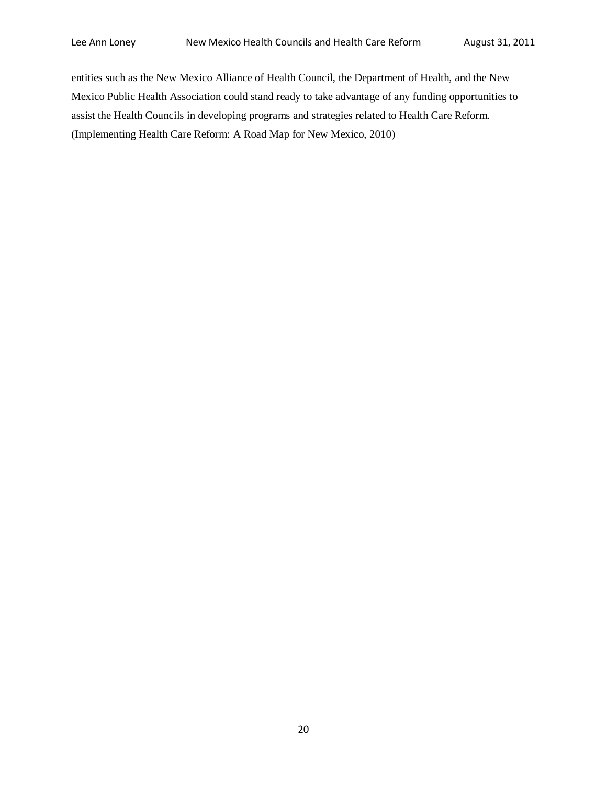entities such as the New Mexico Alliance of Health Council, the Department of Health, and the New Mexico Public Health Association could stand ready to take advantage of any funding opportunities to assist the Health Councils in developing programs and strategies related to Health Care Reform. (Implementing Health Care Reform: A Road Map for New Mexico, 2010)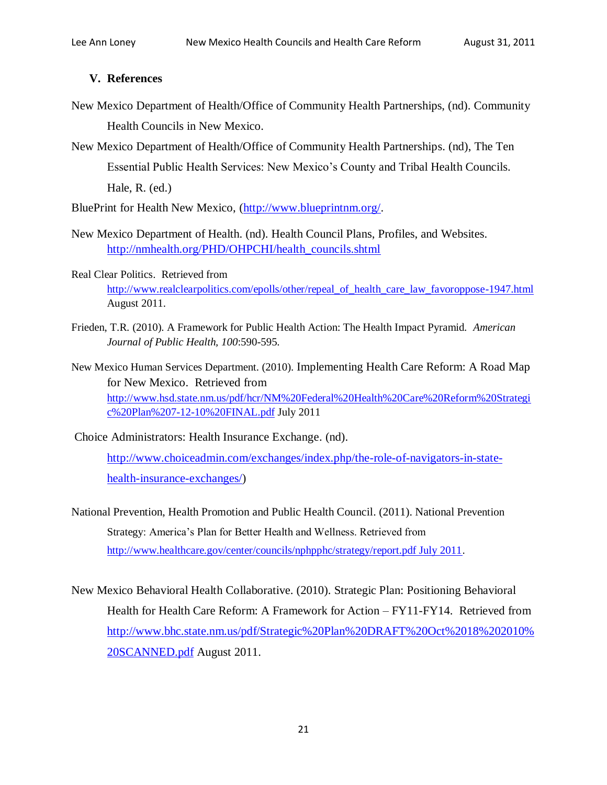### **V. References**

- New Mexico Department of Health/Office of Community Health Partnerships, (nd). Community Health Councils in New Mexico.
- New Mexico Department of Health/Office of Community Health Partnerships. (nd), The Ten Essential Public Health Services: New Mexico's County and Tribal Health Councils. Hale, R. (ed.)

BluePrint for Health New Mexico, [\(http://www.blueprintnm.org/.](http://www.blueprintnm.org/)

- New Mexico Department of Health. (nd). Health Council Plans, Profiles, and Websites. [http://nmhealth.org/PHD/OHPCHI/health\\_councils.shtml](http://nmhealth.org/PHD/OHPCHI/health_councils.shtml)
- Real Clear Politics. Retrieved from [http://www.realclearpolitics.com/epolls/other/repeal\\_of\\_health\\_care\\_law\\_favoroppose-1947.html](http://www.realclearpolitics.com/epolls/other/repeal_of_health_care_law_favoroppose-1947.html) August 2011.
- Frieden, T.R. (2010). A Framework for Public Health Action: The Health Impact Pyramid. *American Journal of Public Health, 100*:590-595.
- New Mexico Human Services Department. (2010). Implementing Health Care Reform: A Road Map for New Mexico. Retrieved from [http://www.hsd.state.nm.us/pdf/hcr/NM%20Federal%20Health%20Care%20Reform%20Strategi](http://www.hsd.state.nm.us/pdf/hcr/NM%20Federal%20Health%20Care%20Reform%20Strategic%20Plan%207-12-10%20FINAL.pdf) [c%20Plan%207-12-10%20FINAL.pdf](http://www.hsd.state.nm.us/pdf/hcr/NM%20Federal%20Health%20Care%20Reform%20Strategic%20Plan%207-12-10%20FINAL.pdf) July 2011
- Choice Administrators: Health Insurance Exchange. (nd).

[http://www.choiceadmin.com/exchanges/index.php/the-role-of-navigators-in-state](http://www.choiceadmin.com/exchanges/index.php/the-role-of-navigators-in-state-health-insurance-exchanges/)[health-insurance-exchanges/\)](http://www.choiceadmin.com/exchanges/index.php/the-role-of-navigators-in-state-health-insurance-exchanges/)

- National Prevention, Health Promotion and Public Health Council. (2011). National Prevention Strategy: America's Plan for Better Health and Wellness. Retrieved from [http://www.healthcare.gov/center/councils/nphpphc/strategy/report.pdf July 2011.](http://www.healthcare.gov/center/councils/nphpphc/strategy/report.pdf%20July%202011)
- New Mexico Behavioral Health Collaborative. (2010). Strategic Plan: Positioning Behavioral Health for Health Care Reform: A Framework for Action – FY11-FY14. Retrieved from [http://www.bhc.state.nm.us/pdf/Strategic%20Plan%20DRAFT%20Oct%2018%202010%](http://www.bhc.state.nm.us/pdf/Strategic%20Plan%20DRAFT%20Oct%2018%202010%20SCANNED.pdf) [20SCANNED.pdf](http://www.bhc.state.nm.us/pdf/Strategic%20Plan%20DRAFT%20Oct%2018%202010%20SCANNED.pdf) August 2011.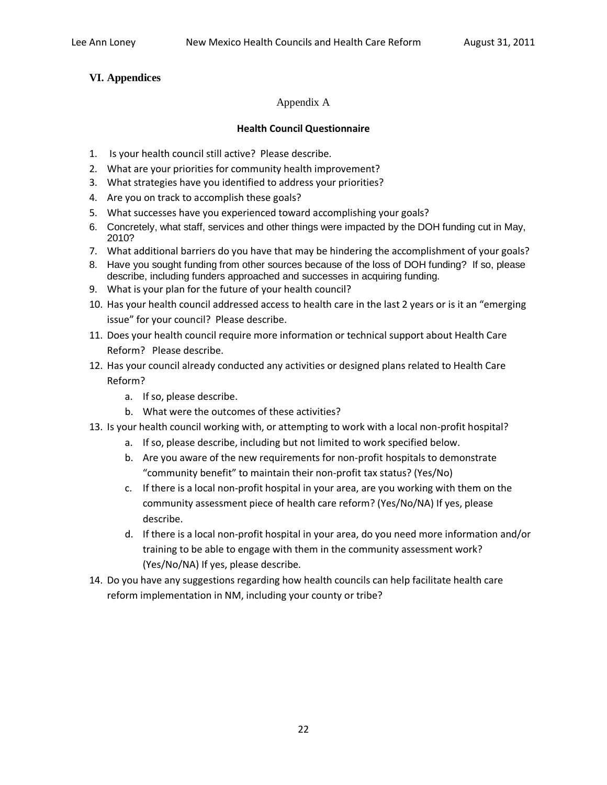### **VI. Appendices**

### Appendix A

### **Health Council Questionnaire**

- 1. Is your health council still active? Please describe.
- 2. What are your priorities for community health improvement?
- 3. What strategies have you identified to address your priorities?
- 4. Are you on track to accomplish these goals?
- 5. What successes have you experienced toward accomplishing your goals?
- 6. Concretely, what staff, services and other things were impacted by the DOH funding cut in May, 2010?
- 7. What additional barriers do you have that may be hindering the accomplishment of your goals?
- 8. Have you sought funding from other sources because of the loss of DOH funding? If so, please describe, including funders approached and successes in acquiring funding.
- 9. What is your plan for the future of your health council?
- 10. Has your health council addressed access to health care in the last 2 years or is it an "emerging issue" for your council? Please describe.
- 11. Does your health council require more information or technical support about Health Care Reform? Please describe.
- 12. Has your council already conducted any activities or designed plans related to Health Care Reform?
	- a. If so, please describe.
	- b. What were the outcomes of these activities?
- 13. Is your health council working with, or attempting to work with a local non-profit hospital?
	- a. If so, please describe, including but not limited to work specified below.
	- b. Are you aware of the new requirements for non-profit hospitals to demonstrate "community benefit" to maintain their non-profit tax status? (Yes/No)
	- c. If there is a local non-profit hospital in your area, are you working with them on the community assessment piece of health care reform? (Yes/No/NA) If yes, please describe.
	- d. If there is a local non-profit hospital in your area, do you need more information and/or training to be able to engage with them in the community assessment work? (Yes/No/NA) If yes, please describe.
- 14. Do you have any suggestions regarding how health councils can help facilitate health care reform implementation in NM, including your county or tribe?